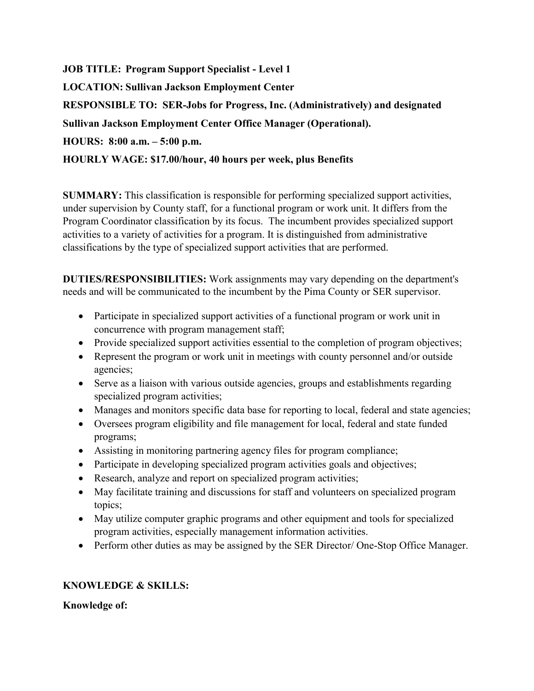**JOB TITLE: Program Support Specialist - Level 1 LOCATION: Sullivan Jackson Employment Center RESPONSIBLE TO: SER-Jobs for Progress, Inc. (Administratively) and designated Sullivan Jackson Employment Center Office Manager (Operational). HOURS: 8:00 a.m. – 5:00 p.m. HOURLY WAGE: \$17.00/hour, 40 hours per week, plus Benefits**

**SUMMARY:** This classification is responsible for performing specialized support activities, under supervision by County staff, for a functional program or work unit. It differs from the Program Coordinator classification by its focus. The incumbent provides specialized support activities to a variety of activities for a program. It is distinguished from administrative classifications by the type of specialized support activities that are performed.

**DUTIES/RESPONSIBILITIES:** Work assignments may vary depending on the department's needs and will be communicated to the incumbent by the Pima County or SER supervisor.

- Participate in specialized support activities of a functional program or work unit in concurrence with program management staff;
- Provide specialized support activities essential to the completion of program objectives;
- Represent the program or work unit in meetings with county personnel and/or outside agencies;
- Serve as a liaison with various outside agencies, groups and establishments regarding specialized program activities;
- Manages and monitors specific data base for reporting to local, federal and state agencies;
- Oversees program eligibility and file management for local, federal and state funded programs;
- Assisting in monitoring partnering agency files for program compliance;
- Participate in developing specialized program activities goals and objectives;
- Research, analyze and report on specialized program activities;
- May facilitate training and discussions for staff and volunteers on specialized program topics;
- May utilize computer graphic programs and other equipment and tools for specialized program activities, especially management information activities.
- Perform other duties as may be assigned by the SER Director/ One-Stop Office Manager.

## **KNOWLEDGE & SKILLS:**

**Knowledge of:**